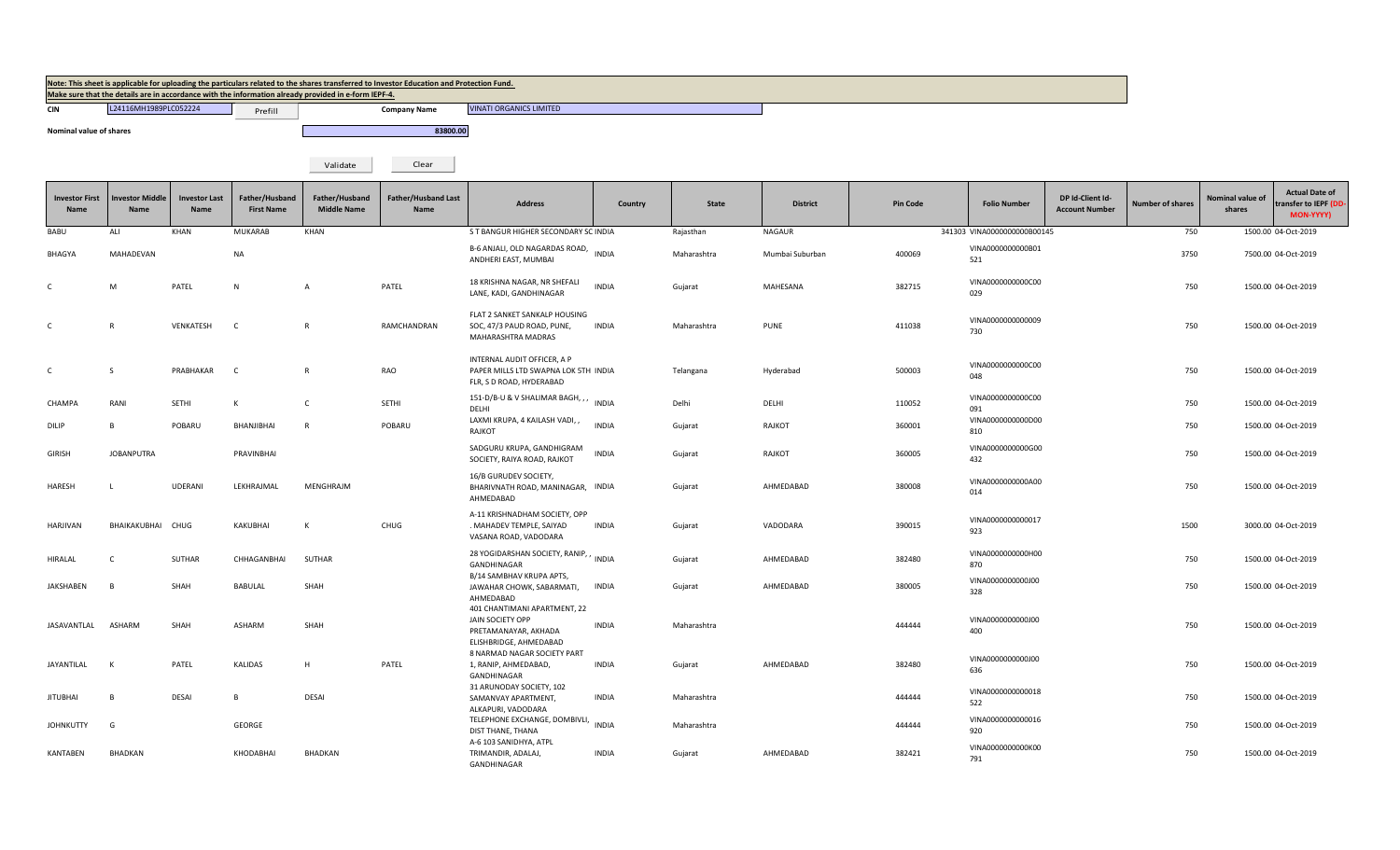| Note: This sheet is applicable for uploading the particulars related to the shares transferred to Investor Education and Protection Fund. |
|-------------------------------------------------------------------------------------------------------------------------------------------|
| Make sure that the details are in accordance with the information already provided in e-form IEPF-4.                                      |

Prefill

**CIN COMPANY 124116MH1989PLC052224 COMPANY Prefill Company Name** 

**Nominal value of shares 83800.00** 

VINATI ORGANICS LIMITED

Validate Clear

| <b>Investor First</b><br><b>Name</b> | nvestor Middle<br><b>Name</b> | <b>Investor Last</b><br><b>Name</b> | Father/Husband<br><b>First Name</b> | Father/Husband<br><b>Middle Name</b> | <b>Father/Husband Last</b><br><b>Name</b> | <b>Address</b>                                                                                     | Country      | <b>State</b> | <b>District</b> | <b>Pin Code</b> | <b>Folio Number</b>          | DP Id-Client Id-<br><b>Account Number</b> | <b>Number of shares</b> | Nominal value of<br>shares | <b>Actual Date of</b><br>transfer to IEPF (DD<br>MON-YYYY) |
|--------------------------------------|-------------------------------|-------------------------------------|-------------------------------------|--------------------------------------|-------------------------------------------|----------------------------------------------------------------------------------------------------|--------------|--------------|-----------------|-----------------|------------------------------|-------------------------------------------|-------------------------|----------------------------|------------------------------------------------------------|
| BABU                                 | ALI                           | KHAN                                | <b>MUKARAB</b>                      | KHAN                                 |                                           | S T BANGUR HIGHER SECONDARY SC INDIA                                                               |              | Rajasthan    | <b>NAGAUR</b>   |                 | 341303 VINA00000000000B00145 |                                           | 750                     |                            | 1500.00 04-Oct-2019                                        |
| BHAGYA                               | MAHADEVAN                     |                                     | <b>NA</b>                           |                                      |                                           | B-6 ANJALI, OLD NAGARDAS ROAD,<br>ANDHERI EAST, MUMBAI                                             | <b>INDIA</b> | Maharashtra  | Mumbai Suburban | 400069          | VINA0000000000B01<br>521     |                                           | 3750                    |                            | 7500.00 04-Oct-2019                                        |
| $\mathsf{C}$                         | M                             | PATEL                               | N                                   | $\overline{A}$                       | PATEL                                     | 18 KRISHNA NAGAR, NR SHEFALI<br>LANE, KADI, GANDHINAGAR                                            | <b>INDIA</b> | Gujarat      | MAHESANA        | 382715          | VINA0000000000C00<br>029     |                                           | 750                     |                            | 1500.00 04-Oct-2019                                        |
| $\mathsf{C}$                         | R                             | VENKATESH                           | $\mathsf{C}$                        | $\mathsf{R}$                         | RAMCHANDRAN                               | FLAT 2 SANKET SANKALP HOUSING<br>SOC, 47/3 PAUD ROAD, PUNE,<br>MAHARASHTRA MADRAS                  | <b>INDIA</b> | Maharashtra  | <b>PUNE</b>     | 411038          | VINA0000000000009<br>730     |                                           | 750                     |                            | 1500.00 04-Oct-2019                                        |
| $\mathsf{C}$                         | -S                            | PRABHAKAR                           | -C                                  | $\mathsf{R}$                         | RAO                                       | INTERNAL AUDIT OFFICER, A P<br>PAPER MILLS LTD SWAPNA LOK 5TH INDIA<br>FLR, S D ROAD, HYDERABAD    |              | Telangana    | Hyderabad       | 500003          | VINA0000000000C00<br>048     |                                           | 750                     |                            | 1500.00 04-Oct-2019                                        |
| CHAMPA                               | RANI                          | SETHI                               | к                                   | C                                    | SETHI                                     | 151-D/B-U & V SHALIMAR BAGH, , , INDIA<br>DELHI                                                    |              | Delhi        | DELHI           | 110052          | VINA0000000000C00<br>091     |                                           | 750                     |                            | 1500.00 04-Oct-2019                                        |
| DILIP                                | B.                            | POBARU                              | BHANJIBHAI                          | $\overline{R}$                       | POBARU                                    | LAXMI KRUPA, 4 KAILASH VADI, ,<br>RAJKOT                                                           | <b>INDIA</b> | Gujarat      | RAJKOT          | 360001          | VINA0000000000D00<br>810     |                                           | 750                     |                            | 1500.00 04-Oct-2019                                        |
| <b>GIRISH</b>                        | <b>JOBANPUTRA</b>             |                                     | PRAVINBHAI                          |                                      |                                           | SADGURU KRUPA, GANDHIGRAM<br>SOCIETY, RAIYA ROAD, RAJKOT                                           | <b>INDIA</b> | Gujarat      | RAJKOT          | 360005          | VINA0000000000G00<br>432     |                                           | 750                     |                            | 1500.00 04-Oct-2019                                        |
| HARESH                               |                               | <b>UDERANI</b>                      | LEKHRAJMAL                          | MENGHRAJM                            |                                           | 16/B GURUDEV SOCIETY,<br>BHARIVNATH ROAD, MANINAGAR, INDIA<br>AHMEDABAD                            |              | Gujarat      | AHMEDABAD       | 380008          | VINA0000000000A00<br>014     |                                           | 750                     |                            | 1500.00 04-Oct-2019                                        |
| <b>HARJIVAN</b>                      | BHAIKAKUBHAI                  | CHUG                                | KAKUBHAI                            | К                                    | CHUG                                      | A-11 KRISHNADHAM SOCIETY, OPP<br>. MAHADEV TEMPLE, SAIYAD<br>VASANA ROAD, VADODARA                 | <b>INDIA</b> | Gujarat      | VADODARA        | 390015          | VINA0000000000017<br>923     |                                           | 1500                    |                            | 3000.00 04-Oct-2019                                        |
| HIRALAL                              |                               | <b>SUTHAR</b>                       | CHHAGANBHAI                         | SUTHAR                               |                                           | 28 YOGIDARSHAN SOCIETY, RANIP, , INDIA<br>GANDHINAGAR                                              |              | Gujarat      | AHMEDABAD       | 382480          | VINA0000000000H00<br>870     |                                           | 750                     |                            | 1500.00 04-Oct-2019                                        |
| JAKSHABEN                            | B.                            | SHAH                                | BABULAL                             | SHAH                                 |                                           | B/14 SAMBHAV KRUPA APTS,<br>JAWAHAR CHOWK, SABARMATI,<br>AHMEDABAD                                 | INDIA        | Gujarat      | AHMEDABAD       | 380005          | VINA0000000000000<br>328     |                                           | 750                     |                            | 1500.00 04-Oct-2019                                        |
| JASAVANTLAL                          | ASHARM                        | SHAH                                | ASHARM                              | SHAH                                 |                                           | 401 CHANTIMANI APARTMENT, 22<br>JAIN SOCIETY OPP<br>PRETAMANAYAR, AKHADA<br>ELISHBRIDGE, AHMEDABAD | <b>INDIA</b> | Maharashtra  |                 | 444444          | VINA0000000000000<br>400     |                                           | 750                     |                            | 1500.00 04-Oct-2019                                        |
| JAYANTILAL                           | к                             | PATEL                               | KALIDAS                             | H                                    | PATEL                                     | 8 NARMAD NAGAR SOCIETY PART<br>1, RANIP, AHMEDABAD,<br>GANDHINAGAR                                 | <b>INDIA</b> | Gujarat      | AHMEDABAD       | 382480          | VINA0000000000000<br>636     |                                           | 750                     |                            | 1500.00 04-Oct-2019                                        |
| <b>JITUBHAI</b>                      |                               | DESAI                               | R                                   | DESAI                                |                                           | 31 ARUNODAY SOCIETY, 102<br>SAMANVAY APARTMENT,<br>ALKAPURI, VADODARA                              | INDIA        | Maharashtra  |                 | 444444          | VINA0000000000018<br>522     |                                           | 750                     |                            | 1500.00 04-Oct-2019                                        |
| <b>JOHNKUTTY</b>                     | G                             |                                     | GEORGE                              |                                      |                                           | TELEPHONE EXCHANGE, DOMBIVLI,<br>DIST THANE, THANA                                                 | <b>INDIA</b> | Maharashtra  |                 | 444444          | VINA0000000000016<br>920     |                                           | 750                     |                            | 1500.00 04-Oct-2019                                        |
| KANTABEN                             | BHADKAN                       |                                     | KHODABHAI                           | BHADKAN                              |                                           | A-6 103 SANIDHYA, ATPL<br>TRIMANDIR, ADALAJ,<br>GANDHINAGAR                                        | <b>INDIA</b> | Gujarat      | AHMEDABAD       | 382421          | VINA0000000000K00<br>791     |                                           | 750                     |                            | 1500.00 04-Oct-2019                                        |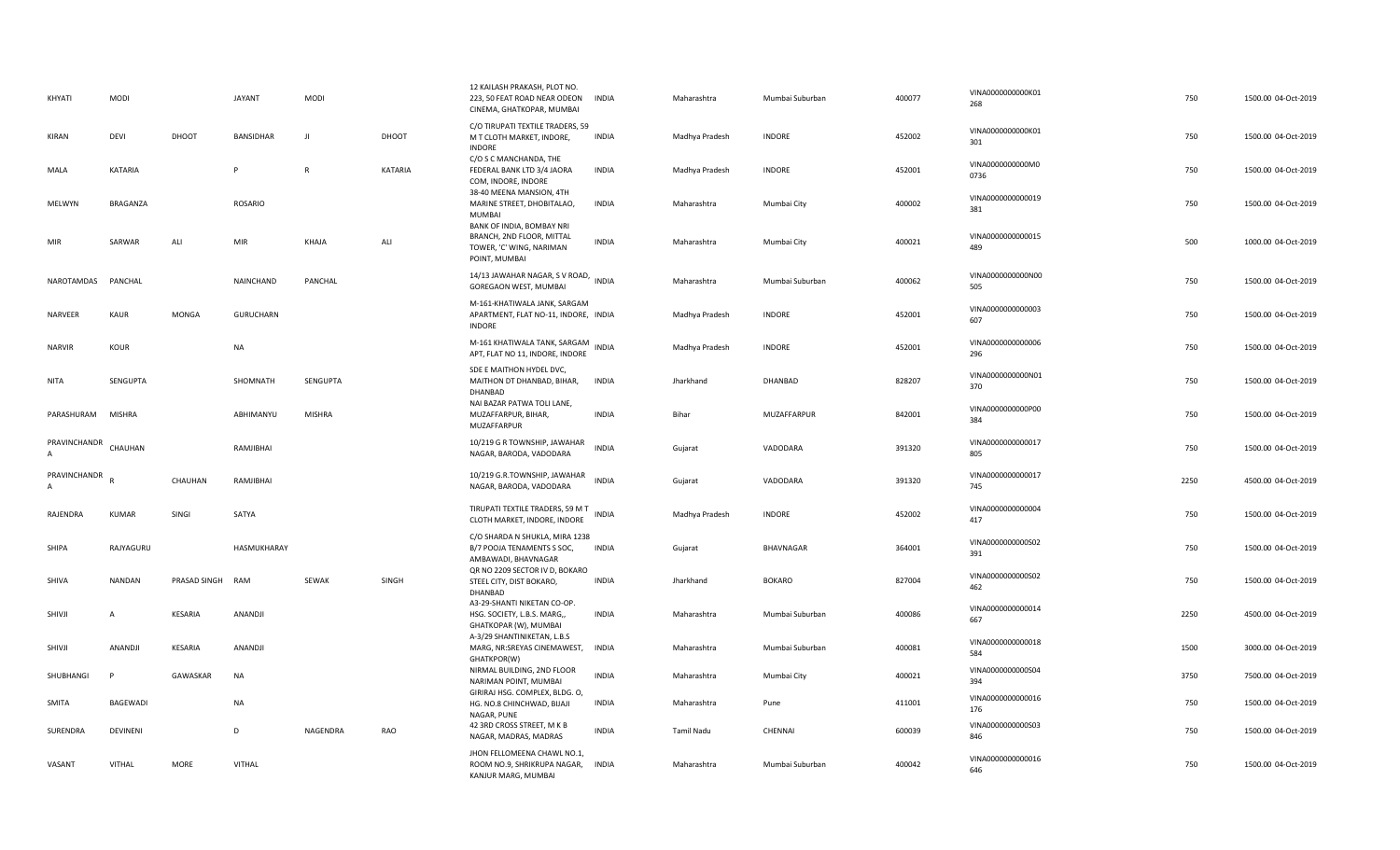| KHYATI                   | MODI           |                  | <b>JAYANT</b>    | <b>MODI</b>   |         | 12 KAILASH PRAKASH, PLOT NO.<br>223, 50 FEAT ROAD NEAR ODEON<br>CINEMA, GHATKOPAR, MUMBAI           | <b>INDIA</b> | Maharashtra    | Mumbai Suburban | 400077 | VINA00000000000K01<br>268 | 750  | 1500.00 04-Oct-2019 |
|--------------------------|----------------|------------------|------------------|---------------|---------|-----------------------------------------------------------------------------------------------------|--------------|----------------|-----------------|--------|---------------------------|------|---------------------|
| KIRAN                    | DEVI           | DHOOT            | BANSIDHAR        | $\mathbf{J}$  | DHOOT   | C/O TIRUPATI TEXTILE TRADERS, 59<br>M T CLOTH MARKET, INDORE,<br><b>INDORE</b>                      | <b>INDIA</b> | Madhya Pradesh | <b>INDORE</b>   | 452002 | VINA0000000000K01<br>301  | 750  | 1500.00 04-Oct-2019 |
| MALA                     | <b>KATARIA</b> |                  | P                | $\mathsf{R}$  | KATARIA | C/O S C MANCHANDA, THE<br>FEDERAL BANK LTD 3/4 JAORA<br>COM, INDORE, INDORE                         | <b>INDIA</b> | Madhya Pradesh | <b>INDORE</b>   | 452001 | VINA0000000000M0<br>0736  | 750  | 1500.00 04-Oct-2019 |
| MELWYN                   | BRAGANZA       |                  | <b>ROSARIO</b>   |               |         | 38-40 MEENA MANSION, 4TH<br>MARINE STREET, DHOBITALAO,<br>MUMBAI                                    | <b>INDIA</b> | Maharashtra    | Mumbai City     | 400002 | VINA0000000000019<br>381  | 750  | 1500.00 04-Oct-2019 |
| MIR                      | SARWAR         | ALI              | MIR              | KHAJA         | ALI     | BANK OF INDIA, BOMBAY NRI<br>BRANCH, 2ND FLOOR, MITTAL<br>TOWER, 'C' WING, NARIMAN<br>POINT, MUMBAI | <b>INDIA</b> | Maharashtra    | Mumbai City     | 400021 | VINA0000000000015<br>489  | 500  | 1000.00 04-Oct-2019 |
| NAROTAMDAS PANCHAL       |                |                  | NAINCHAND        | PANCHAL       |         | 14/13 JAWAHAR NAGAR, S V ROAD, INDIA<br>GOREGAON WEST, MUMBAI                                       |              | Maharashtra    | Mumbai Suburban | 400062 | VINA0000000000N00<br>505  | 750  | 1500.00 04-Oct-2019 |
| NARVEER                  | <b>KAUR</b>    | <b>MONGA</b>     | <b>GURUCHARN</b> |               |         | M-161-KHATIWALA JANK, SARGAM<br>APARTMENT, FLAT NO-11, INDORE, INDIA<br><b>INDORE</b>               |              | Madhya Pradesh | <b>INDORE</b>   | 452001 | VINA0000000000003<br>607  | 750  | 1500.00 04-Oct-2019 |
| <b>NARVIR</b>            | KOUR           |                  | <b>NA</b>        |               |         | M-161 KHATIWALA TANK, SARGAM<br>APT, FLAT NO 11, INDORE, INDORE                                     | <b>INDIA</b> | Madhya Pradesh | <b>INDORE</b>   | 452001 | VINA0000000000006<br>296  | 750  | 1500.00 04-Oct-2019 |
| <b>NITA</b>              | SENGUPTA       |                  | SHOMNATH         | SENGUPTA      |         | SDE E MAITHON HYDEL DVC,<br>MAITHON DT DHANBAD, BIHAR,<br>DHANBAD                                   | <b>INDIA</b> | Jharkhand      | DHANBAD         | 828207 | VINA0000000000N01<br>370  | 750  | 1500.00 04-Oct-2019 |
| PARASHURAM MISHRA        |                |                  | ABHIMANYU        | <b>MISHRA</b> |         | NAI BAZAR PATWA TOLI LANE,<br>MUZAFFARPUR, BIHAR,<br>MUZAFFARPUR                                    | <b>INDIA</b> | Bihar          | MUZAFFARPUR     | 842001 | VINA0000000000P00<br>384  | 750  | 1500.00 04-Oct-2019 |
| PRAVINCHANDR<br>$\Delta$ | CHAUHAN        |                  | RAMJIBHAI        |               |         | 10/219 G R TOWNSHIP, JAWAHAR<br>NAGAR, BARODA, VADODARA                                             | <b>INDIA</b> | Gujarat        | VADODARA        | 391320 | VINA0000000000017<br>805  | 750  | 1500.00 04-Oct-2019 |
| PRAVINCHANDR             |                | CHAUHAN          | RAMJIBHAI        |               |         | 10/219 G.R.TOWNSHIP, JAWAHAR<br>NAGAR, BARODA, VADODARA                                             | <b>INDIA</b> | Gujarat        | VADODARA        | 391320 | VINA0000000000017<br>745  | 2250 | 4500.00 04-Oct-2019 |
| RAJENDRA                 | <b>KUMAR</b>   | SINGI            | SATYA            |               |         | TIRUPATI TEXTILE TRADERS, 59 M T<br>CLOTH MARKET, INDORE, INDORE                                    | INDIA        | Madhya Pradesh | <b>INDORE</b>   | 452002 | VINA0000000000004<br>417  | 750  | 1500.00 04-Oct-2019 |
| SHIPA                    | RAJYAGURU      |                  | HASMUKHARAY      |               |         | C/O SHARDA N SHUKLA, MIRA 1238<br>B/7 POOJA TENAMENTS S SOC,<br>AMBAWADI, BHAVNAGAR                 | <b>INDIA</b> | Gujarat        | BHAVNAGAR       | 364001 | VINA0000000000502<br>391  | 750  | 1500.00 04-Oct-2019 |
| SHIVA                    | <b>NANDAN</b>  | PRASAD SINGH RAM |                  | SEWAK         | SINGH   | QR NO 2209 SECTOR IV D, BOKARO<br>STEEL CITY, DIST BOKARO,<br>DHANBAD                               | <b>INDIA</b> | Jharkhand      | <b>BOKARO</b>   | 827004 | VINA0000000000502<br>462  | 750  | 1500.00 04-Oct-2019 |
| SHIVJI                   | $\overline{A}$ | <b>KESARIA</b>   | ANANDJI          |               |         | A3-29-SHANTI NIKETAN CO-OP.<br>HSG. SOCIETY, L.B.S. MARG,,<br>GHATKOPAR (W), MUMBAI                 | <b>INDIA</b> | Maharashtra    | Mumbai Suburban | 400086 | VINA0000000000014<br>667  | 2250 | 4500.00 04-Oct-2019 |
| SHIVJI                   | ANANDJI        | <b>KESARIA</b>   | ANANDJI          |               |         | A-3/29 SHANTINIKETAN, L.B.S<br>MARG, NR:SREYAS CINEMAWEST,<br>GHATKPOR(W)                           | <b>INDIA</b> | Maharashtra    | Mumbai Suburban | 400081 | VINA0000000000018<br>584  | 1500 | 3000.00 04-Oct-2019 |
| SHUBHANGI                | P              | GAWASKAR         | NA               |               |         | NIRMAL BUILDING, 2ND FLOOR<br>NARIMAN POINT, MUMBAI<br>GIRIRAJ HSG. COMPLEX, BLDG. O,               | <b>INDIA</b> | Maharashtra    | Mumbai City     | 400021 | VINA0000000000S04<br>394  | 3750 | 7500.00 04-Oct-2019 |
| <b>SMITA</b>             | BAGEWADI       |                  | NA               |               |         | HG. NO.8 CHINCHWAD, BIJAJI<br>NAGAR, PUNE                                                           | INDIA        | Maharashtra    | Pune            | 411001 | VINA0000000000016<br>176  | 750  | 1500.00 04-Oct-2019 |
| SURENDRA                 | DEVINENI       |                  | D                | NAGENDRA      | RAO     | 42 3RD CROSS STREET, M K B<br>NAGAR, MADRAS, MADRAS                                                 | <b>INDIA</b> | Tamil Nadu     | CHENNAI         | 600039 | VINA0000000000503<br>846  | 750  | 1500.00 04-Oct-2019 |
|                          |                |                  |                  |               |         | JHON FELLOMEENA CHAWL NO.1,                                                                         |              |                |                 |        |                           |      |                     |